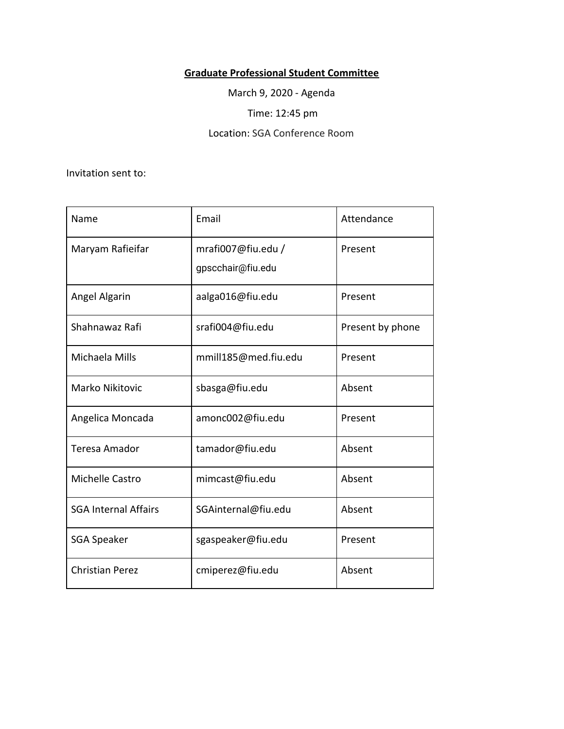## **Graduate Professional Student Committee**

March 9, 2020 - Agenda

Time: 12:45 pm

Location: SGA Conference Room

Invitation sent to:

| Name                        | Email                                   | Attendance       |
|-----------------------------|-----------------------------------------|------------------|
| Maryam Rafieifar            | mrafi007@fiu.edu /<br>gpscchair@fiu.edu | Present          |
| Angel Algarin               | aalga016@fiu.edu                        | Present          |
| Shahnawaz Rafi              | srafi004@fiu.edu                        | Present by phone |
| Michaela Mills              | mmill185@med.fiu.edu                    | Present          |
| Marko Nikitovic             | sbasga@fiu.edu                          | Absent           |
| Angelica Moncada            | amonc002@fiu.edu                        | Present          |
| Teresa Amador               | tamador@fiu.edu                         | Absent           |
| Michelle Castro             | mimcast@fiu.edu                         | Absent           |
| <b>SGA Internal Affairs</b> | SGAinternal@fiu.edu                     | Absent           |
| <b>SGA Speaker</b>          | sgaspeaker@fiu.edu                      | Present          |
| <b>Christian Perez</b>      | cmiperez@fiu.edu                        | Absent           |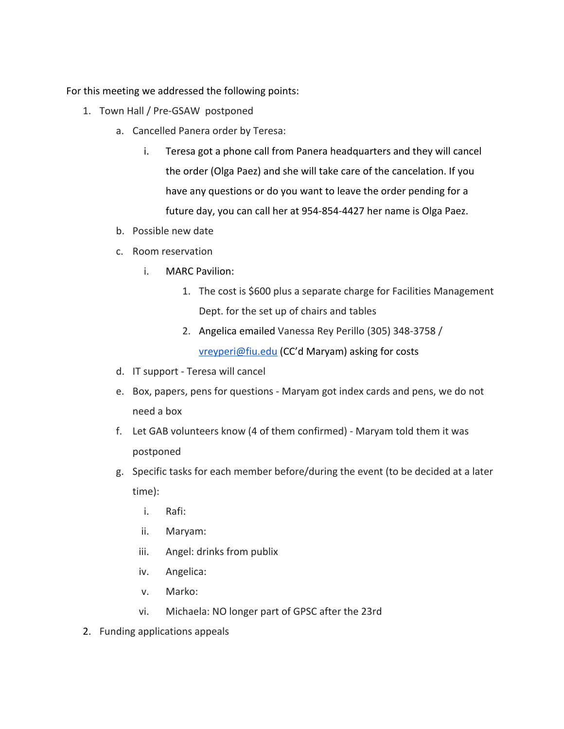For this meeting we addressed the following points:

- 1. Town Hall / Pre-GSAW postponed
	- a. Cancelled Panera order by Teresa:
		- i. Teresa got a phone call from Panera headquarters and they will cancel the order (Olga Paez) and she will take care of the cancelation. If you have any questions or do you want to leave the order pending for a future day, you can call her at 954-854-4427 her name is Olga Paez.
	- b. Possible new date
	- c. Room reservation
		- i. MARC Pavilion:
			- 1. The cost is \$600 plus a separate charge for Facilities Management Dept. for the set up of chairs and tables
			- 2. Angelica emailed Vanessa Rey Perillo (305) 348-3758 / [vreyperi@fiu.edu](mailto:vreyperi@fiu.edu) (CC'd Maryam) asking for costs
	- d. IT support Teresa will cancel
	- e. Box, papers, pens for questions Maryam got index cards and pens, we do not need a box
	- f. Let GAB volunteers know (4 of them confirmed) Maryam told them it was postponed
	- g. Specific tasks for each member before/during the event (to be decided at a later time):
		- i. Rafi:
		- ii. Maryam:
		- iii. Angel: drinks from publix
		- iv. Angelica:
		- v. Marko:
		- vi. Michaela: NO longer part of GPSC after the 23rd
- 2. Funding applications appeals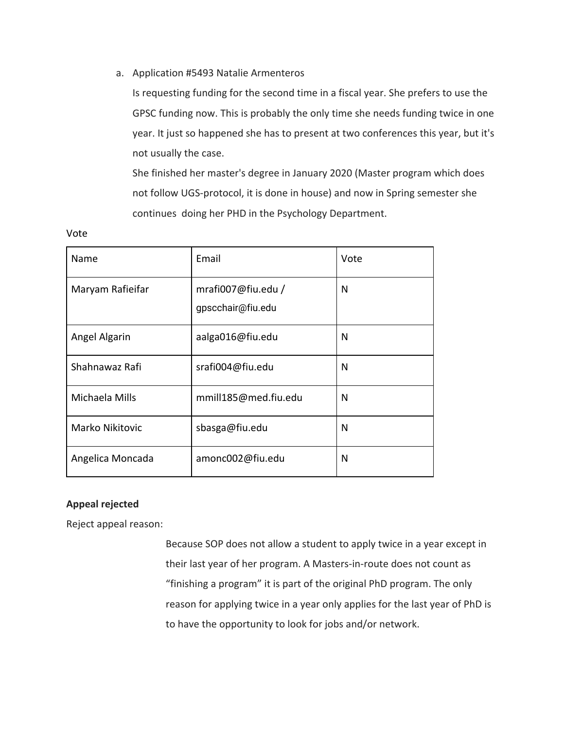a. Application #5493 Natalie Armenteros

Is requesting funding for the second time in a fiscal year. She prefers to use the GPSC funding now. This is probably the only time she needs funding twice in one year. It just so happened she has to present at two conferences this year, but it's not usually the case.

She finished her master's degree in January 2020 (Master program which does not follow UGS-protocol, it is done in house) and now in Spring semester she continues doing her PHD in the Psychology Department.

| Name             | Email                                   | Vote |
|------------------|-----------------------------------------|------|
| Maryam Rafieifar | mrafi007@fiu.edu /<br>gpscchair@fiu.edu | N    |
| Angel Algarin    | aalga016@fiu.edu                        | N    |
| Shahnawaz Rafi   | srafi004@fiu.edu                        | N    |
| Michaela Mills   | mmill185@med.fiu.edu                    | N    |
| Marko Nikitovic  | sbasga@fiu.edu                          | N    |
| Angelica Moncada | amonc002@fiu.edu                        | N    |

## **Appeal rejected**

Vote

Reject appeal reason:

Because SOP does not allow a student to apply twice in a year except in their last year of her program. A Masters-in-route does not count as "finishing a program" it is part of the original PhD program. The only reason for applying twice in a year only applies for the last year of PhD is to have the opportunity to look for jobs and/or network.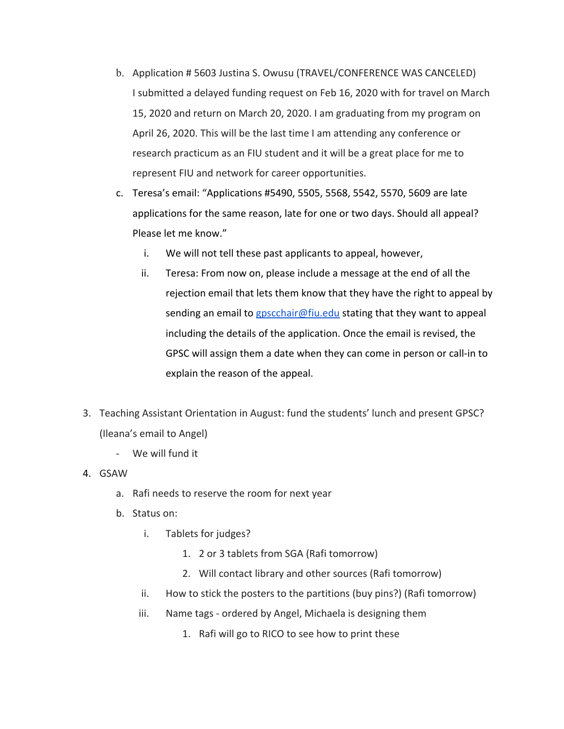- b. Application # 5603 Justina S. Owusu (TRAVEL/CONFERENCE WAS CANCELED) I submitted a delayed funding request on Feb 16, 2020 with for travel on March 15, 2020 and return on March 20, 2020. I am graduating from my program on April 26, 2020. This will be the last time I am attending any conference or research practicum as an FIU student and it will be a great place for me to represent FIU and network for career opportunities.
- c. Teresa's email: "Applications #5490, 5505, 5568, 5542, 5570, 5609 are late applications for the same reason, late for one or two days. Should all appeal? Please let me know."
	- i. We will not tell these past applicants to appeal, however,
	- ii. Teresa: From now on, please include a message at the end of all the rejection email that lets them know that they have the right to appeal by sending an email to [gpscchair@fiu.edu](mailto:gpscchair@fiu.edu) stating that they want to appeal including the details of the application. Once the email is revised, the GPSC will assign them a date when they can come in person or call-in to explain the reason of the appeal.
- 3. Teaching Assistant Orientation in August: fund the students' lunch and present GPSC? (Ileana's email to Angel)
	- We will fund it
- 4. GSAW
	- a. Rafi needs to reserve the room for next year
	- b. Status on:
		- i. Tablets for judges?
			- 1. 2 or 3 tablets from SGA (Rafi tomorrow)
			- 2. Will contact library and other sources (Rafi tomorrow)
		- ii. How to stick the posters to the partitions (buy pins?) (Rafi tomorrow)
		- iii. Name tags ordered by Angel, Michaela is designing them
			- 1. Rafi will go to RICO to see how to print these